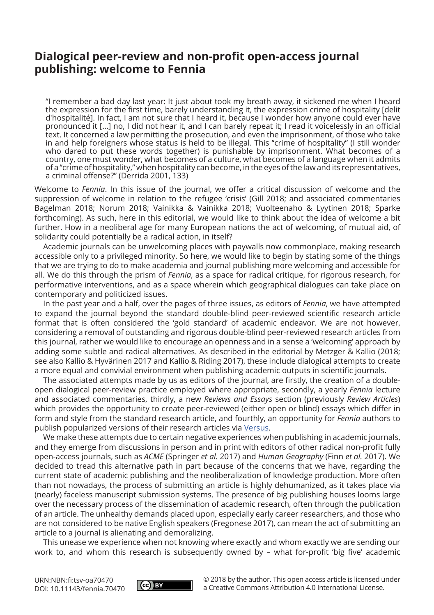## **Dialogical peer-review and non-profit open-access journal publishing: welcome to Fennia**

"I remember a bad day last year: It just about took my breath away, it sickened me when I heard the expression for the first time, barely understanding it, the expression crime of hospitality [delit d'hospitalité]. In fact, I am not sure that I heard it, because I wonder how anyone could ever have pronounced it [...] no, I did not hear it, and I can barely repeat it; I read it voicelessly in an official text. It concerned a law permitting the prosecution, and even the imprisonment, of those who take in and help foreigners whose status is held to be illegal. This "crime of hospitality" (I still wonder who dared to put these words together) is punishable by imprisonment. What becomes of a country, one must wonder, what becomes of a culture, what becomes of a language when it admits of a "crime of hospitality," when hospitality can become, in the eyes of the law and its representatives, a criminal offense?" (Derrida 2001, 133)

Welcome to *Fennia*. In this issue of the journal, we offer a critical discussion of welcome and the suppression of welcome in relation to the refugee 'crisis' (Gill 2018; and associated commentaries Bagelman 2018; Norum 2018; Vainikka & Vainikka 2018; Vuolteenaho & Lyytinen 2018; Sparke forthcoming). As such, here in this editorial, we would like to think about the idea of welcome a bit further. How in a neoliberal age for many European nations the act of welcoming, of mutual aid, of solidarity could potentially be a radical action, in itself?

Academic journals can be unwelcoming places with paywalls now commonplace, making research accessible only to a privileged minority. So here, we would like to begin by stating some of the things that we are trying to do to make academia and journal publishing more welcoming and accessible for all. We do this through the prism of *Fennia*, as a space for radical critique, for rigorous research, for performative interventions, and as a space wherein which geographical dialogues can take place on contemporary and politicized issues.

In the past year and a half, over the pages of three issues, as editors of *Fennia*, we have attempted to expand the journal beyond the standard double-blind peer-reviewed scientific research article format that is often considered the 'gold standard' of academic endeavor. We are not however, considering a removal of outstanding and rigorous double-blind peer-reviewed research articles from this journal, rather we would like to encourage an openness and in a sense a 'welcoming' approach by adding some subtle and radical alternatives. As described in the editorial by Metzger & Kallio (2018; see also Kallio & Hyvärinen 2017 and Kallio & Riding 2017), these include dialogical attempts to create a more equal and convivial environment when publishing academic outputs in scientific journals.

The associated attempts made by us as editors of the journal, are firstly, the creation of a doubleopen dialogical peer-review practice employed where appropriate, secondly, a yearly *Fennia* lecture and associated commentaries, thirdly, a new *Reviews and Essays* section (previously *Review Articles*) which provides the opportunity to create peer-reviewed (either open or blind) essays which differ in form and style from the standard research article, and fourthly, an opportunity for *Fennia* authors to publish popularized versions of their research articles via [Versus](http://versuslehti.fi/english).

We make these attempts due to certain negative experiences when publishing in academic journals, and they emerge from discussions in person and in print with editors of other radical non-profit fully open-access journals, such as *ACME* (Springer *et al.* 2017) and *Human Geography* (Finn *et al.* 2017). We decided to tread this alternative path in part because of the concerns that we have, regarding the current state of academic publishing and the neoliberalization of knowledge production. More often than not nowadays, the process of submitting an article is highly dehumanized, as it takes place via (nearly) faceless manuscript submission systems. The presence of big publishing houses looms large over the necessary process of the dissemination of academic research, often through the publication of an article. The unhealthy demands placed upon, especially early career researchers, and those who are not considered to be native English speakers (Fregonese 2017), can mean the act of submitting an article to a journal is alienating and demoralizing.

This unease we experience when not knowing where exactly and whom exactly we are sending our work to, and whom this research is subsequently owned by – what for-profit 'big five' academic

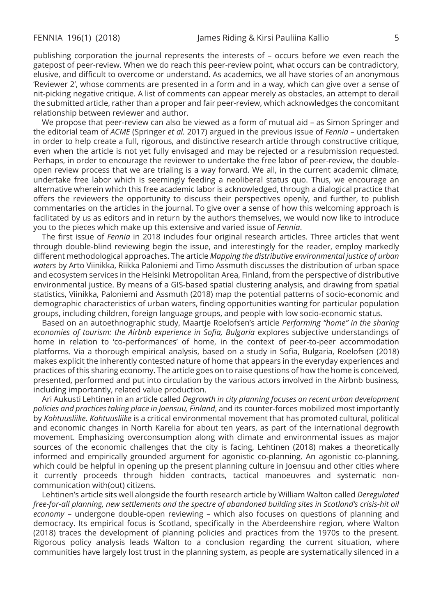publishing corporation the journal represents the interests of – occurs before we even reach the gatepost of peer-review. When we do reach this peer-review point, what occurs can be contradictory, elusive, and difficult to overcome or understand. As academics, we all have stories of an anonymous 'Reviewer 2', whose comments are presented in a form and in a way, which can give over a sense of nit-picking negative critique. A list of comments can appear merely as obstacles, an attempt to derail the submitted article, rather than a proper and fair peer-review, which acknowledges the concomitant relationship between reviewer and author.

We propose that peer-review can also be viewed as a form of mutual aid – as Simon Springer and the editorial team of *ACME* (Springer *et al.* 2017) argued in the previous issue of *Fennia* – undertaken in order to help create a full, rigorous, and distinctive research article through constructive critique, even when the article is not yet fully envisaged and may be rejected or a resubmission requested. Perhaps, in order to encourage the reviewer to undertake the free labor of peer-review, the doubleopen review process that we are trialing is a way forward. We all, in the current academic climate, undertake free labor which is seemingly feeding a neoliberal status quo. Thus, we encourage an alternative wherein which this free academic labor is acknowledged, through a dialogical practice that offers the reviewers the opportunity to discuss their perspectives openly, and further, to publish commentaries on the articles in the journal. To give over a sense of how this welcoming approach is facilitated by us as editors and in return by the authors themselves, we would now like to introduce you to the pieces which make up this extensive and varied issue of *Fennia*.

The first issue of *Fennia* in 2018 includes four original research articles. Three articles that went through double-blind reviewing begin the issue, and interestingly for the reader, employ markedly different methodological approaches. The article *Mapping the distributive environmental justice of urban waters* by Arto Viinikka, Riikka Paloniemi and Timo Assmuth discusses the distribution of urban space and ecosystem services in the Helsinki Metropolitan Area, Finland, from the perspective of distributive environmental justice. By means of a GIS-based spatial clustering analysis, and drawing from spatial statistics, Viinikka, Paloniemi and Assmuth (2018) map the potential patterns of socio-economic and demographic characteristics of urban waters, finding opportunities wanting for particular population groups, including children, foreign language groups, and people with low socio-economic status.

Based on an autoethnographic study, Maartje Roelofsen's article *Performing "home" in the sharing economies of tourism: the Airbnb experience in Sofia, Bulgaria* explores subjective understandings of home in relation to 'co-performances' of home, in the context of peer-to-peer accommodation platforms. Via a thorough empirical analysis, based on a study in Sofia, Bulgaria, Roelofsen (2018) makes explicit the inherently contested nature of home that appears in the everyday experiences and practices of this sharing economy. The article goes on to raise questions of how the home is conceived, presented, performed and put into circulation by the various actors involved in the Airbnb business, including importantly, related value production.

Ari Aukusti Lehtinen in an article called *Degrowth in city planning focuses on recent urban development policies and practices taking place in Joensuu, Finland*, and its counter-forces mobilized most importantly by *Kohtuusliike*. *Kohtuusliike* is a critical environmental movement that has promoted cultural, political and economic changes in North Karelia for about ten years, as part of the international degrowth movement. Emphasizing overconsumption along with climate and environmental issues as major sources of the economic challenges that the city is facing, Lehtinen (2018) makes a theoretically informed and empirically grounded argument for agonistic co-planning. An agonistic co-planning, which could be helpful in opening up the present planning culture in Joensuu and other cities where it currently proceeds through hidden contracts, tactical manoeuvres and systematic noncommunication with(out) citizens.

Lehtinen's article sits well alongside the fourth research article by William Walton called *Deregulated free-for-all planning, new settlements and the spectre of abandoned building sites in Scotland's crisis-hit oil economy* – undergone double-open reviewing – which also focuses on questions of planning and democracy. Its empirical focus is Scotland, specifically in the Aberdeenshire region, where Walton (2018) traces the development of planning policies and practices from the 1970s to the present. Rigorous policy analysis leads Walton to a conclusion regarding the current situation, where communities have largely lost trust in the planning system, as people are systematically silenced in a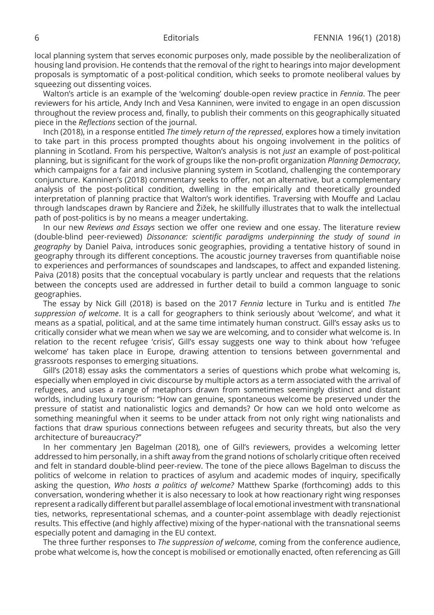local planning system that serves economic purposes only, made possible by the neoliberalization of housing land provision. He contends that the removal of the right to hearings into major development proposals is symptomatic of a post-political condition, which seeks to promote neoliberal values by squeezing out dissenting voices.

Walton's article is an example of the 'welcoming' double-open review practice in *Fennia*. The peer reviewers for his article, Andy Inch and Vesa Kanninen, were invited to engage in an open discussion throughout the review process and, finally, to publish their comments on this geographically situated piece in the *Reflections* section of the journal.

Inch (2018), in a response entitled *The timely return of the repressed*, explores how a timely invitation to take part in this process prompted thoughts about his ongoing involvement in the politics of planning in Scotland. From his perspective, Walton's analysis is not *just* an example of post-political planning, but is significant for the work of groups like the non-profit organization *Planning Democracy*, which campaigns for a fair and inclusive planning system in Scotland, challenging the contemporary conjuncture. Kanninen's (2018) commentary seeks to offer, not an alternative, but a complementary analysis of the post-political condition, dwelling in the empirically and theoretically grounded interpretation of planning practice that Walton's work identifies. Traversing with Mouffe and Laclau through landscapes drawn by Ranciere and Žižek, he skillfully illustrates that to walk the intellectual path of post-politics is by no means a meager undertaking.

In our new *Reviews and Essays* section we offer one review and one essay. The literature review (double-blind peer-reviewed) *Dissonance: scientific paradigms underpinning the study of sound in geography* by Daniel Paiva, introduces sonic geographies, providing a tentative history of sound in geography through its different conceptions. The acoustic journey traverses from quantifiable noise to experiences and performances of soundscapes and landscapes, to affect and expanded listening. Paiva (2018) posits that the conceptual vocabulary is partly unclear and requests that the relations between the concepts used are addressed in further detail to build a common language to sonic geographies.

The essay by Nick Gill (2018) is based on the 2017 *Fennia* lecture in Turku and is entitled *The suppression of welcome*. It is a call for geographers to think seriously about 'welcome', and what it means as a spatial, political, and at the same time intimately human construct. Gill's essay asks us to critically consider what we mean when we say we are welcoming, and to consider what welcome is. In relation to the recent refugee 'crisis', Gill's essay suggests one way to think about how 'refugee welcome' has taken place in Europe, drawing attention to tensions between governmental and grassroots responses to emerging situations.

Gill's (2018) essay asks the commentators a series of questions which probe what welcoming is, especially when employed in civic discourse by multiple actors as a term associated with the arrival of refugees, and uses a range of metaphors drawn from sometimes seemingly distinct and distant worlds, including luxury tourism: "How can genuine, spontaneous welcome be preserved under the pressure of statist and nationalistic logics and demands? Or how can we hold onto welcome as something meaningful when it seems to be under attack from not only right wing nationalists and factions that draw spurious connections between refugees and security threats, but also the very architecture of bureaucracy?"

In her commentary Jen Bagelman (2018), one of Gill's reviewers, provides a welcoming letter addressed to him personally, in a shift away from the grand notions of scholarly critique often received and felt in standard double-blind peer-review. The tone of the piece allows Bagelman to discuss the politics of welcome in relation to practices of asylum and academic modes of inquiry, specifically asking the question, *Who hosts a politics of welcome?* Matthew Sparke (forthcoming) adds to this conversation, wondering whether it is also necessary to look at how reactionary right wing responses represent a radically different but parallel assemblage of local emotional investment with transnational ties, networks, representational schemas, and a counter-point assemblage with deadly rejectionist results. This effective (and highly affective) mixing of the hyper-national with the transnational seems especially potent and damaging in the EU context.

The three further responses to *The suppression of welcome*, coming from the conference audience, probe what welcome is, how the concept is mobilised or emotionally enacted, often referencing as Gill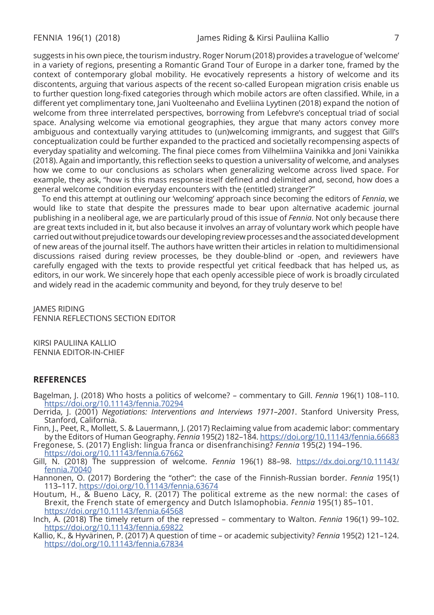suggests in his own piece, the tourism industry. Roger Norum (2018) provides a travelogue of 'welcome' in a variety of regions, presenting a Romantic Grand Tour of Europe in a darker tone, framed by the context of contemporary global mobility. He evocatively represents a history of welcome and its discontents, arguing that various aspects of the recent so-called European migration crisis enable us to further question long-fixed categories through which mobile actors are often classified. While, in a different yet complimentary tone, Jani Vuolteenaho and Eveliina Lyytinen (2018) expand the notion of welcome from three interrelated perspectives, borrowing from Lefebvre's conceptual triad of social space. Analysing welcome via emotional geographies, they argue that many actors convey more ambiguous and contextually varying attitudes to (un)welcoming immigrants, and suggest that Gill's conceptualization could be further expanded to the practiced and societally recompensing aspects of everyday spatiality and welcoming. The final piece comes from Vilhelmiina Vainikka and Joni Vainikka (2018). Again and importantly, this reflection seeks to question a universality of welcome, and analyses how we come to our conclusions as scholars when generalizing welcome across lived space. For example, they ask, "how is this mass response itself defined and delimited and, second, how does a general welcome condition everyday encounters with the (entitled) stranger?"

To end this attempt at outlining our 'welcoming' approach since becoming the editors of *Fennia*, we would like to state that despite the pressures made to bear upon alternative academic journal publishing in a neoliberal age, we are particularly proud of this issue of *Fennia*. Not only because there are great texts included in it, but also because it involves an array of voluntary work which people have carried out without prejudice towards our developing review processes and the associated development of new areas of the journal itself. The authors have written their articles in relation to multidimensional discussions raised during review processes, be they double-blind or -open, and reviewers have carefully engaged with the texts to provide respectful yet critical feedback that has helped us, as editors, in our work. We sincerely hope that each openly accessible piece of work is broadly circulated and widely read in the academic community and beyond, for they truly deserve to be!

JAMES RIDING FENNIA REFLECTIONS SECTION EDITOR

KIRSI PAULIINA KALLIO FENNIA EDITOR-IN-CHIEF

## **REFERENCES**

- Bagelman, J. (2018) Who hosts a politics of welcome? commentary to Gill. *Fennia* 196(1) 108–110. <https://doi.org/10.11143/fennia.70294>
- Derrida, J. (2001) *Negotiations: Interventions and Interviews 1971–2001*. Stanford University Press, Stanford, California.
- Finn, J., Peet, R., Mollett, S. & Lauermann, J. (2017) Reclaiming value from academic labor: commentary by the Editors of Human Geography. *Fennia* 195(2) 182–184.<https://doi.org/10.11143/fennia.66683>

Fregonese, S. (2017) English: lingua franca or disenfranchising? *Fennia* 195(2) 194–196. <https://doi.org/10.11143/fennia.67662>

- Gill, N. (2018) The suppression of welcome. *Fennia* 196(1) 88–98. [https://dx.doi.org/10.11143/](https://dx.doi.org/10.11143/fennia.70040) [fennia.70040](https://dx.doi.org/10.11143/fennia.70040)
- Hannonen, O. (2017) Bordering the "other": the case of the Finnish-Russian border. *Fennia* 195(1) 113–117.<https://doi.org/10.11143/fennia.63674>
- Houtum, H., & Bueno Lacy, R. (2017) The political extreme as the new normal: the cases of Brexit, the French state of emergency and Dutch Islamophobia. *Fennia* 195(1) 85–101. <https://doi.org/10.11143/fennia.64568>
- Inch, A. (2018) The timely return of the repressed commentary to Walton. *Fennia* 196(1) 99–102. <https://doi.org/10.11143/fennia.69822>
- Kallio, K., & Hyvärinen, P. (2017) A question of time or academic subjectivity? *Fennia* 195(2) 121–124. <https://doi.org/10.11143/fennia.67834>